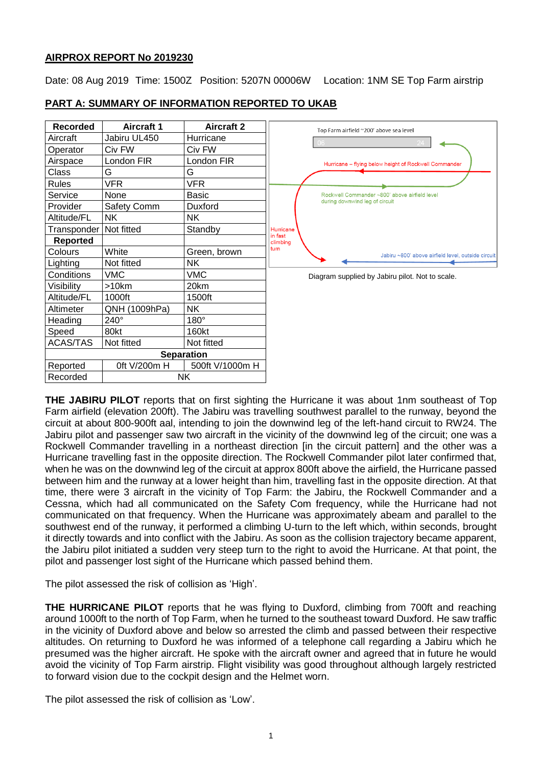## **AIRPROX REPORT No 2019230**

Date: 08 Aug 2019 Time: 1500Z Position: 5207N 00006W Location: 1NM SE Top Farm airstrip

| Recorded              | <b>Aircraft 1</b> | <b>Aircraft 2</b> | Top Farm airfield ~200' above sea level                    |
|-----------------------|-------------------|-------------------|------------------------------------------------------------|
| Aircraft              | Jabiru UL450      | Hurricane         |                                                            |
| Operator              | Civ FW            | Civ FW            |                                                            |
| Airspace              | London FIR        | London FIR        | Hurricane - flying below height of Rockwell Commander      |
| Class                 | G                 | G                 |                                                            |
| <b>Rules</b>          | VFR.              | VFR.              |                                                            |
| Service               | None              | Basic             | Rockwell Commander ~800' above airfield level              |
| Provider              | Safety Comm       | Duxford           | during downwind leg of circuit                             |
| Altitude/FL           | NK.               | <b>NK</b>         |                                                            |
| Transponder           | Not fitted        | Standby           | Hurricane                                                  |
| Reported              |                   |                   | in fast<br>climbing                                        |
| Colours               | White             | Green, brown      | turn<br>Jabiru ~800' above airfield level, outside circuit |
| Lighting              | Not fitted        | <b>NK</b>         |                                                            |
| Conditions            | <b>VMC</b>        | VMC               | Diagram supplied by Jabiru pilot. Not to scale.            |
| Visibility            | $>10$ km          | 20km              |                                                            |
| Altitude/FL           | 1000ft            | 1500ft            |                                                            |
| Altimeter             | QNH (1009hPa)     | <b>NK</b>         |                                                            |
| Heading               | $240^\circ$       | $180^\circ$       |                                                            |
| Speed                 | 80kt              | 160kt             |                                                            |
| <b>ACAS/TAS</b>       | Not fitted        | Not fitted        |                                                            |
|                       |                   | <b>Separation</b> |                                                            |
| Reported              | 0ft V/200m H      | 500ft V/1000m H   |                                                            |
| <b>NK</b><br>Recorded |                   |                   |                                                            |

# **PART A: SUMMARY OF INFORMATION REPORTED TO UKAB**

**THE JABIRU PILOT** reports that on first sighting the Hurricane it was about 1nm southeast of Top Farm airfield (elevation 200ft). The Jabiru was travelling southwest parallel to the runway, beyond the circuit at about 800-900ft aal, intending to join the downwind leg of the left-hand circuit to RW24. The Jabiru pilot and passenger saw two aircraft in the vicinity of the downwind leg of the circuit; one was a Rockwell Commander travelling in a northeast direction [in the circuit pattern] and the other was a Hurricane travelling fast in the opposite direction. The Rockwell Commander pilot later confirmed that, when he was on the downwind leg of the circuit at approx 800ft above the airfield, the Hurricane passed between him and the runway at a lower height than him, travelling fast in the opposite direction. At that time, there were 3 aircraft in the vicinity of Top Farm: the Jabiru, the Rockwell Commander and a Cessna, which had all communicated on the Safety Com frequency, while the Hurricane had not communicated on that frequency. When the Hurricane was approximately abeam and parallel to the southwest end of the runway, it performed a climbing U-turn to the left which, within seconds, brought it directly towards and into conflict with the Jabiru. As soon as the collision trajectory became apparent, the Jabiru pilot initiated a sudden very steep turn to the right to avoid the Hurricane. At that point, the pilot and passenger lost sight of the Hurricane which passed behind them.

The pilot assessed the risk of collision as 'High'.

**THE HURRICANE PILOT** reports that he was flying to Duxford, climbing from 700ft and reaching around 1000ft to the north of Top Farm, when he turned to the southeast toward Duxford. He saw traffic in the vicinity of Duxford above and below so arrested the climb and passed between their respective altitudes. On returning to Duxford he was informed of a telephone call regarding a Jabiru which he presumed was the higher aircraft. He spoke with the aircraft owner and agreed that in future he would avoid the vicinity of Top Farm airstrip. Flight visibility was good throughout although largely restricted to forward vision due to the cockpit design and the Helmet worn.

The pilot assessed the risk of collision as 'Low'.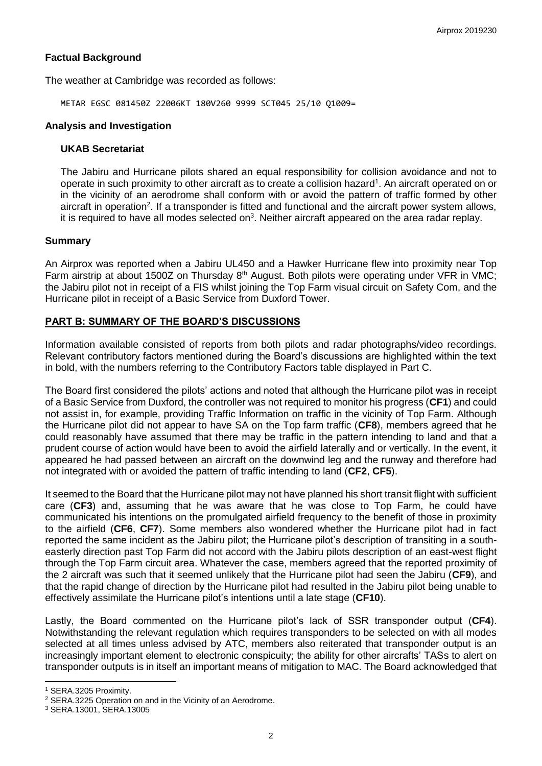# **Factual Background**

The weather at Cambridge was recorded as follows:

METAR EGSC 081450Z 22006KT 180V260 9999 SCT045 25/10 Q1009=

#### **Analysis and Investigation**

#### **UKAB Secretariat**

The Jabiru and Hurricane pilots shared an equal responsibility for collision avoidance and not to operate in such proximity to other aircraft as to create a collision hazard<sup>1</sup>. An aircraft operated on or in the vicinity of an aerodrome shall conform with or avoid the pattern of traffic formed by other aircraft in operation<sup>2</sup>. If a transponder is fitted and functional and the aircraft power system allows, it is required to have all modes selected on<sup>3</sup>. Neither aircraft appeared on the area radar replay.

### **Summary**

An Airprox was reported when a Jabiru UL450 and a Hawker Hurricane flew into proximity near Top Farm airstrip at about 1500Z on Thursday 8<sup>th</sup> August. Both pilots were operating under VFR in VMC; the Jabiru pilot not in receipt of a FIS whilst joining the Top Farm visual circuit on Safety Com, and the Hurricane pilot in receipt of a Basic Service from Duxford Tower.

# **PART B: SUMMARY OF THE BOARD'S DISCUSSIONS**

Information available consisted of reports from both pilots and radar photographs/video recordings. Relevant contributory factors mentioned during the Board's discussions are highlighted within the text in bold, with the numbers referring to the Contributory Factors table displayed in Part C.

The Board first considered the pilots' actions and noted that although the Hurricane pilot was in receipt of a Basic Service from Duxford, the controller was not required to monitor his progress (**CF1**) and could not assist in, for example, providing Traffic Information on traffic in the vicinity of Top Farm. Although the Hurricane pilot did not appear to have SA on the Top farm traffic (**CF8**), members agreed that he could reasonably have assumed that there may be traffic in the pattern intending to land and that a prudent course of action would have been to avoid the airfield laterally and or vertically. In the event, it appeared he had passed between an aircraft on the downwind leg and the runway and therefore had not integrated with or avoided the pattern of traffic intending to land (**CF2**, **CF5**).

It seemed to the Board that the Hurricane pilot may not have planned his short transit flight with sufficient care (**CF3**) and, assuming that he was aware that he was close to Top Farm, he could have communicated his intentions on the promulgated airfield frequency to the benefit of those in proximity to the airfield (**CF6**, **CF7**). Some members also wondered whether the Hurricane pilot had in fact reported the same incident as the Jabiru pilot; the Hurricane pilot's description of transiting in a southeasterly direction past Top Farm did not accord with the Jabiru pilots description of an east-west flight through the Top Farm circuit area. Whatever the case, members agreed that the reported proximity of the 2 aircraft was such that it seemed unlikely that the Hurricane pilot had seen the Jabiru (**CF9**), and that the rapid change of direction by the Hurricane pilot had resulted in the Jabiru pilot being unable to effectively assimilate the Hurricane pilot's intentions until a late stage (**CF10**).

Lastly, the Board commented on the Hurricane pilot's lack of SSR transponder output (**CF4**). Notwithstanding the relevant regulation which requires transponders to be selected on with all modes selected at all times unless advised by ATC, members also reiterated that transponder output is an increasingly important element to electronic conspicuity; the ability for other aircrafts' TASs to alert on transponder outputs is in itself an important means of mitigation to MAC. The Board acknowledged that

 $\overline{\phantom{a}}$ 

<sup>1</sup> SERA.3205 Proximity.

<sup>2</sup> SERA.3225 Operation on and in the Vicinity of an Aerodrome.

<sup>3</sup> SERA.13001, SERA.13005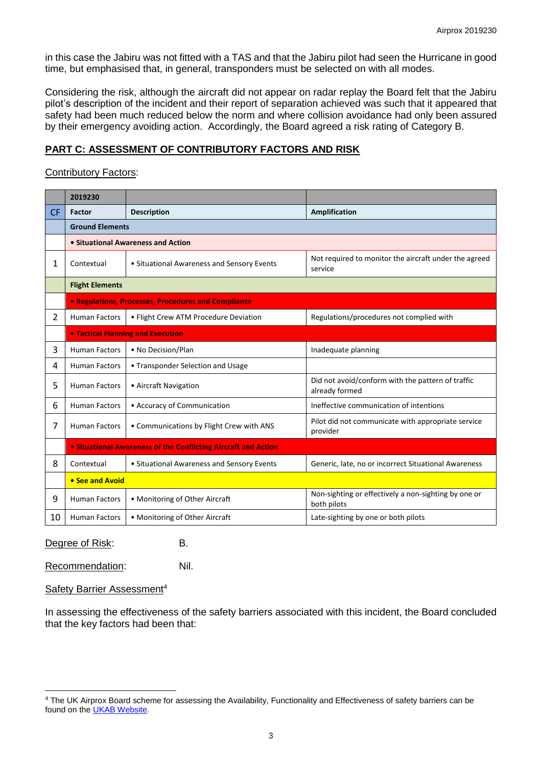in this case the Jabiru was not fitted with a TAS and that the Jabiru pilot had seen the Hurricane in good time, but emphasised that, in general, transponders must be selected on with all modes.

Considering the risk, although the aircraft did not appear on radar replay the Board felt that the Jabiru pilot's description of the incident and their report of separation achieved was such that it appeared that safety had been much reduced below the norm and where collision avoidance had only been assured by their emergency avoiding action. Accordingly, the Board agreed a risk rating of Category B.

## **PART C: ASSESSMENT OF CONTRIBUTORY FACTORS AND RISK**

#### Contributory Factors:

|           | 2019230                                                               |                                                                                   |                                                                     |  |  |  |  |  |  |
|-----------|-----------------------------------------------------------------------|-----------------------------------------------------------------------------------|---------------------------------------------------------------------|--|--|--|--|--|--|
| <b>CF</b> | <b>Factor</b>                                                         | <b>Description</b>                                                                | <b>Amplification</b>                                                |  |  |  |  |  |  |
|           | <b>Ground Elements</b>                                                |                                                                                   |                                                                     |  |  |  |  |  |  |
|           | • Situational Awareness and Action                                    |                                                                                   |                                                                     |  |  |  |  |  |  |
| 1         | Contextual                                                            | • Situational Awareness and Sensory Events                                        | Not required to monitor the aircraft under the agreed<br>service    |  |  |  |  |  |  |
|           | <b>Flight Elements</b>                                                |                                                                                   |                                                                     |  |  |  |  |  |  |
|           | <b>• Regulations, Processes, Procedures and Compliance</b>            |                                                                                   |                                                                     |  |  |  |  |  |  |
| 2         | <b>Human Factors</b>                                                  | Regulations/procedures not complied with<br>• Flight Crew ATM Procedure Deviation |                                                                     |  |  |  |  |  |  |
|           | <b>. Tactical Planning and Execution</b>                              |                                                                                   |                                                                     |  |  |  |  |  |  |
| 3         | <b>Human Factors</b>                                                  | • No Decision/Plan                                                                | Inadequate planning                                                 |  |  |  |  |  |  |
| 4         | <b>Human Factors</b><br>• Transponder Selection and Usage             |                                                                                   |                                                                     |  |  |  |  |  |  |
| 5         | <b>Human Factors</b><br>• Aircraft Navigation                         |                                                                                   | Did not avoid/conform with the pattern of traffic<br>already formed |  |  |  |  |  |  |
| 6         | <b>Human Factors</b><br>• Accuracy of Communication                   |                                                                                   | Ineffective communication of intentions                             |  |  |  |  |  |  |
| 7         | <b>Human Factors</b><br>• Communications by Flight Crew with ANS      |                                                                                   | Pilot did not communicate with appropriate service<br>provider      |  |  |  |  |  |  |
|           | <b>• Situational Awareness of the Conflicting Aircraft and Action</b> |                                                                                   |                                                                     |  |  |  |  |  |  |
| 8         | Contextual                                                            | • Situational Awareness and Sensory Events                                        | Generic, late, no or incorrect Situational Awareness                |  |  |  |  |  |  |
|           | • See and Avoid                                                       |                                                                                   |                                                                     |  |  |  |  |  |  |
| 9         | <b>Human Factors</b>                                                  | • Monitoring of Other Aircraft                                                    | Non-sighting or effectively a non-sighting by one or<br>both pilots |  |  |  |  |  |  |
| 10        | • Monitoring of Other Aircraft<br><b>Human Factors</b>                |                                                                                   | Late-sighting by one or both pilots                                 |  |  |  |  |  |  |

Degree of Risk: B.

Recommendation: Nil.

#### Safety Barrier Assessment<sup>4</sup>

 $\overline{a}$ 

In assessing the effectiveness of the safety barriers associated with this incident, the Board concluded that the key factors had been that:

<sup>4</sup> The UK Airprox Board scheme for assessing the Availability, Functionality and Effectiveness of safety barriers can be found on the [UKAB Website.](http://www.airproxboard.org.uk/Learn-more/Airprox-Barrier-Assessment/)